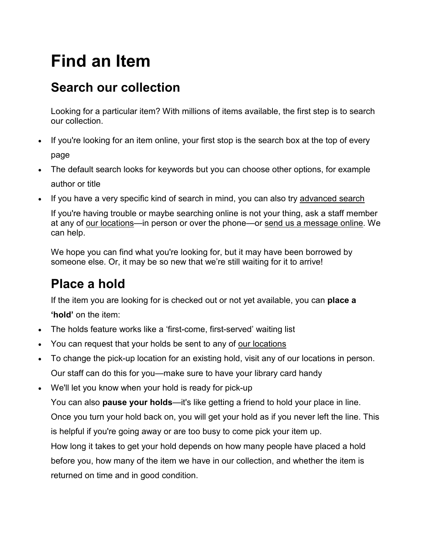# **Find an Item**

#### **Search our collection**

Looking for a particular item? With millions of items available, the first step is to search our collection.

- If you're looking for an item online, your first stop is the search box at the top of every page
- The default search looks for keywords but you can choose other options, for example author or title
- If you have a very specific kind of search in mind, you can also try [advanced](https://samepagewcrl.bibliocommons.com/search) search

If you're having trouble or maybe searching online is not your thing, ask a staff member at any of our [locations—](https://westerncounties.ca/branch-locations/)in person or over the phone—or send us a [message](mailto:question@westerncounties.ca) online. We can help.

We hope you can find what you're looking for, but it may have been borrowed by someone else. Or, it may be so new that we're still waiting for it to arrive!

## **Place a hold**

If the item you are looking for is checked out or not yet available, you can **place a**

**'hold'** on the item:

- The holds feature works like a 'first-come, first-served' waiting list
- You can request that your holds be sent to any of our [locations](https://westerncounties.ca/branch-locations/)
- To change the pick-up location for an existing hold, visit any of our locations in person. Our staff can do this for you—make sure to have your library card handy
- We'll let you know when your hold is ready for pick-up

You can also **pause your holds**—it's like getting a friend to hold your place in line. Once you turn your hold back on, you will get your hold as if you never left the line. This is helpful if you're going away or are too busy to come pick your item up.

How long it takes to get your hold depends on how many people have placed a hold before you, how many of the item we have in our collection, and whether the item is returned on time and in good condition.